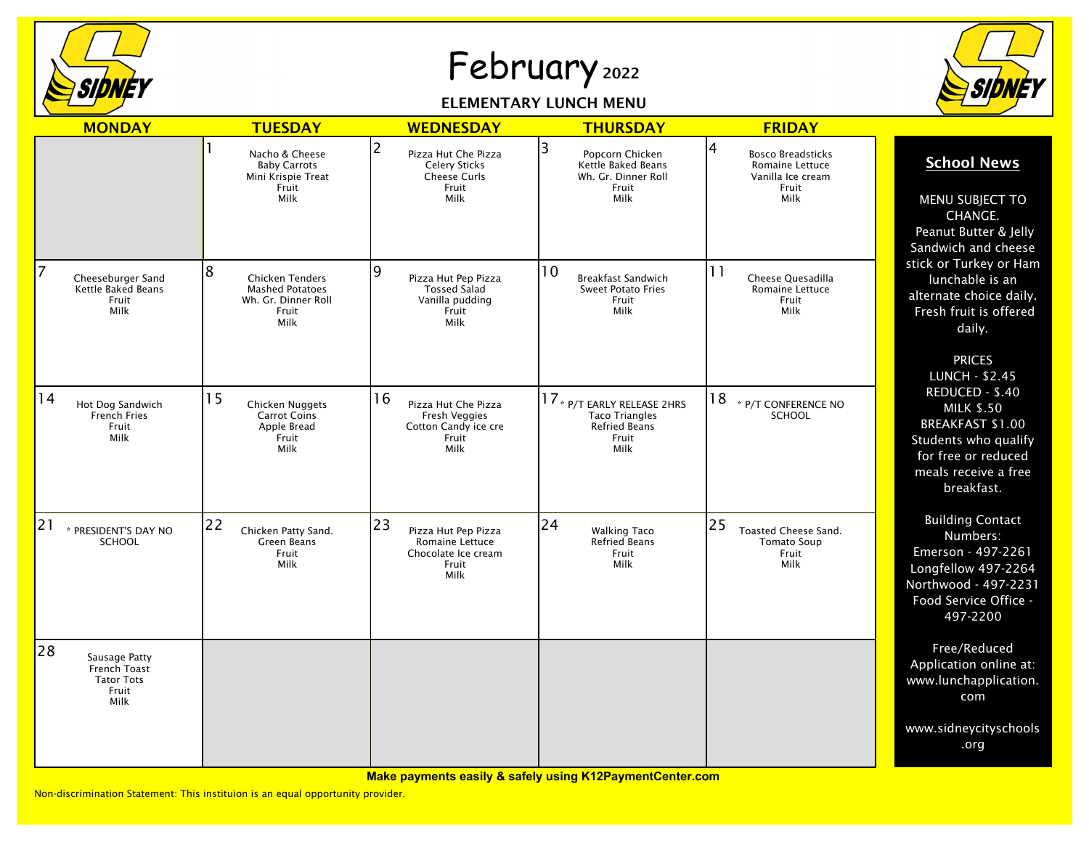

## February <sup>2022</sup>

## ELEMENTARY LUNCH MENU



| <b>MONDAY</b>                                                             | <b>TUESDAY</b>                                                                                | <b>WEDNESDAY</b>                                                                                      | <b>THURSDAY</b>                                                                               | <b>FRIDAY</b>                                                                                 |                                                                                                                                                                                                                                                                                                            |
|---------------------------------------------------------------------------|-----------------------------------------------------------------------------------------------|-------------------------------------------------------------------------------------------------------|-----------------------------------------------------------------------------------------------|-----------------------------------------------------------------------------------------------|------------------------------------------------------------------------------------------------------------------------------------------------------------------------------------------------------------------------------------------------------------------------------------------------------------|
|                                                                           | Nacho & Cheese<br><b>Baby Carrots</b><br>Mini Krispie Treat<br>Fruit<br>Milk                  | $\overline{2}$<br>Pizza Hut Che Pizza<br><b>Celery Sticks</b><br><b>Cheese Curls</b><br>Fruit<br>Milk | 3<br>Popcorn Chicken<br><b>Kettle Baked Beans</b><br>Wh. Gr. Dinner Roll<br>Fruit<br>Milk     | 4<br><b>Bosco Breadsticks</b><br><b>Romaine Lettuce</b><br>Vanilla Ice cream<br>Fruit<br>Milk | <b>School News</b><br>MENU SUBJECT TO<br>CHANGE.<br>Peanut Butter & Jelly<br>Sandwich and cheese                                                                                                                                                                                                           |
| 7<br>Cheeseburger Sand<br>Kettle Baked Beans<br>Fruit<br>Milk             | 8<br><b>Chicken Tenders</b><br><b>Mashed Potatoes</b><br>Wh. Gr. Dinner Roll<br>Fruit<br>Milk | 19<br>Pizza Hut Pep Pizza<br><b>Tossed Salad</b><br>Vanilla pudding<br>Fruit<br>Milk                  | 10<br>Breakfast Sandwich<br><b>Sweet Potato Fries</b><br>Fruit<br>Milk                        | 11<br>Cheese Quesadilla<br>Romaine Lettuce<br>Fruit<br>Milk                                   | stick or Turkey or Ham<br>lunchable is an<br>alternate choice daily.<br>Fresh fruit is offered<br>daily.<br><b>PRICES</b><br><b>LUNCH - \$2.45</b><br>REDUCED - \$.40<br><b>MILK \$.50</b><br><b>BREAKFAST \$1.00</b><br>Students who qualify<br>for free or reduced<br>meals receive a free<br>breakfast. |
| 14<br>Hot Dog Sandwich<br>French Fries<br>Fruit<br>Milk                   | 15<br>Chicken Nuggets<br><b>Carrot Coins</b><br>Apple Bread<br>Fruit<br>Milk                  | 16<br>Pizza Hut Che Pizza<br>Fresh Veggies<br>Cotton Candy ice cre<br>Fruit<br>Milk                   | 17 * P/T EARLY RELEASE 2HRS<br><b>Taco Triangles</b><br><b>Refried Beans</b><br>Fruit<br>Milk | 18<br>* P/T CONFERENCE NO<br><b>SCHOOL</b>                                                    |                                                                                                                                                                                                                                                                                                            |
| 21<br>* PRESIDENT'S DAY NO<br>SCHOOL                                      | 22<br>Chicken Patty Sand.<br>Green Beans<br>Fruit<br>Milk                                     | 23<br>Pizza Hut Pep Pizza<br>Romaine Lettuce<br>Chocolate Ice cream<br>Fruit<br>Milk                  | 24<br><b>Walking Taco</b><br>Refried Beans<br>Fruit<br>Milk                                   | 25<br>Toasted Cheese Sand.<br><b>Tomato Soup</b><br>Fruit<br>Milk                             | <b>Building Contact</b><br>Numbers:<br>Emerson - 497-2261<br>Longfellow 497-2264<br>Northwood - 497-2231<br>Food Service Office -<br>497-2200                                                                                                                                                              |
| 28<br>Sausage Patty<br>French Toast<br><b>Tator Tots</b><br>Fruit<br>Milk |                                                                                               |                                                                                                       |                                                                                               |                                                                                               | Free/Reduced<br>Application online at:<br>www.lunchapplication.<br>com                                                                                                                                                                                                                                     |
|                                                                           |                                                                                               |                                                                                                       |                                                                                               |                                                                                               | www.sidneycityschools<br>.org                                                                                                                                                                                                                                                                              |

**Make payments easily & safely using K12PaymentCenter.com**

Non-discrimination Statement: This instituion is an equal opportunity provider.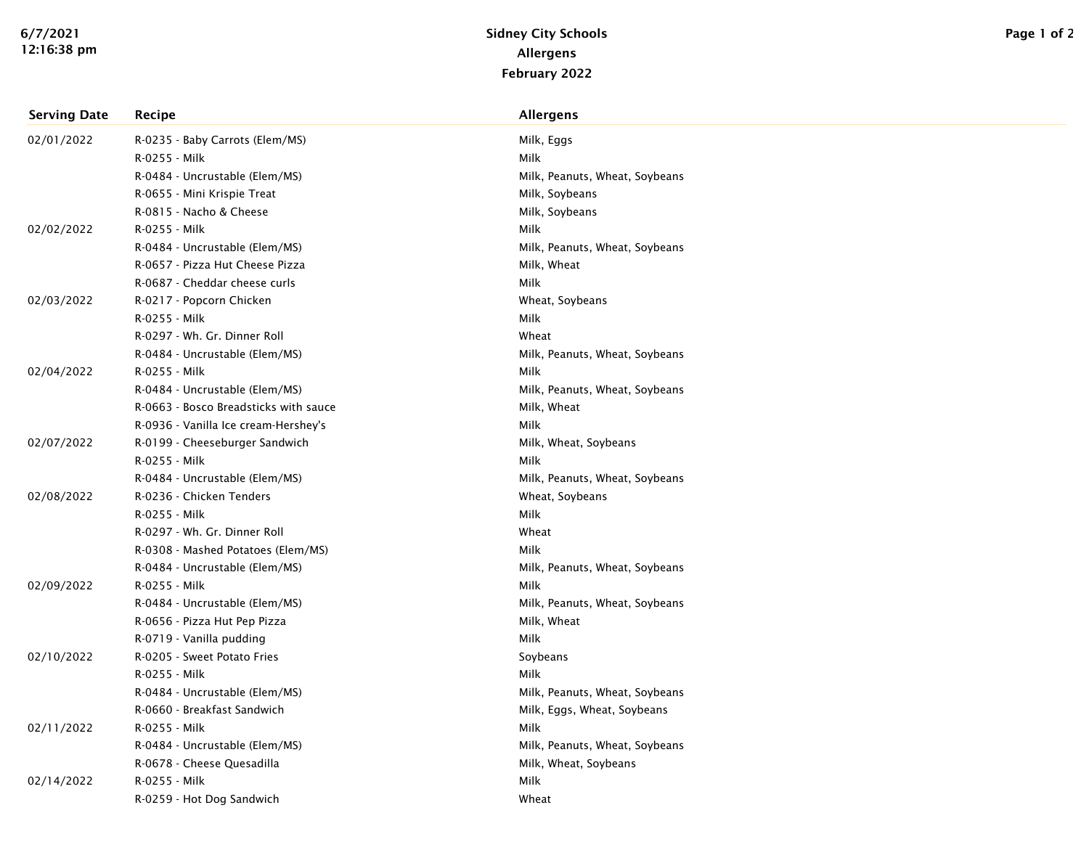| <b>Serving Date</b> | Recipe                                | Allergens                      |
|---------------------|---------------------------------------|--------------------------------|
| 02/01/2022          | R-0235 - Baby Carrots (Elem/MS)       | Milk, Eggs                     |
|                     | R-0255 - Milk                         | Milk                           |
|                     | R-0484 - Uncrustable (Elem/MS)        | Milk, Peanuts, Wheat, Soybeans |
|                     | R-0655 - Mini Krispie Treat           | Milk, Soybeans                 |
|                     | R-0815 - Nacho & Cheese               | Milk, Soybeans                 |
| 02/02/2022          | R-0255 - Milk                         | Milk                           |
|                     | R-0484 - Uncrustable (Elem/MS)        | Milk, Peanuts, Wheat, Soybeans |
|                     | R-0657 - Pizza Hut Cheese Pizza       | Milk, Wheat                    |
|                     | R-0687 - Cheddar cheese curls         | Milk                           |
| 02/03/2022          | R-0217 - Popcorn Chicken              | Wheat, Soybeans                |
|                     | R-0255 - Milk                         | Milk                           |
|                     | R-0297 - Wh. Gr. Dinner Roll          | Wheat                          |
|                     | R-0484 - Uncrustable (Elem/MS)        | Milk, Peanuts, Wheat, Soybeans |
| 02/04/2022          | R-0255 - Milk                         | Milk                           |
|                     | R-0484 - Uncrustable (Elem/MS)        | Milk, Peanuts, Wheat, Soybeans |
|                     | R-0663 - Bosco Breadsticks with sauce | Milk, Wheat                    |
|                     | R-0936 - Vanilla Ice cream-Hershey's  | Milk                           |
| 02/07/2022          | R-0199 - Cheeseburger Sandwich        | Milk, Wheat, Soybeans          |
|                     | R-0255 - Milk                         | Milk                           |
|                     | R-0484 - Uncrustable (Elem/MS)        | Milk, Peanuts, Wheat, Soybeans |
| 02/08/2022          | R-0236 - Chicken Tenders              | Wheat, Soybeans                |
|                     | R-0255 - Milk                         | Milk                           |
|                     | R-0297 - Wh. Gr. Dinner Roll          | Wheat                          |
|                     | R-0308 - Mashed Potatoes (Elem/MS)    | Milk                           |
|                     | R-0484 - Uncrustable (Elem/MS)        | Milk, Peanuts, Wheat, Soybeans |
| 02/09/2022          | R-0255 - Milk                         | Milk                           |
|                     | R-0484 - Uncrustable (Elem/MS)        | Milk, Peanuts, Wheat, Soybeans |
|                     | R-0656 - Pizza Hut Pep Pizza          | Milk, Wheat                    |
|                     | R-0719 - Vanilla pudding              | Milk                           |
| 02/10/2022          | R-0205 - Sweet Potato Fries           | Soybeans                       |
|                     | R-0255 - Milk                         | Milk                           |
|                     | R-0484 - Uncrustable (Elem/MS)        | Milk, Peanuts, Wheat, Soybeans |
|                     | R-0660 - Breakfast Sandwich           | Milk, Eggs, Wheat, Soybeans    |
| 02/11/2022          | R-0255 - Milk                         | Milk                           |
|                     | R-0484 - Uncrustable (Elem/MS)        | Milk, Peanuts, Wheat, Soybeans |
|                     | R-0678 - Cheese Quesadilla            | Milk, Wheat, Soybeans          |
| 02/14/2022          | R-0255 - Milk                         | Milk                           |
|                     | R-0259 - Hot Dog Sandwich             | Wheat                          |